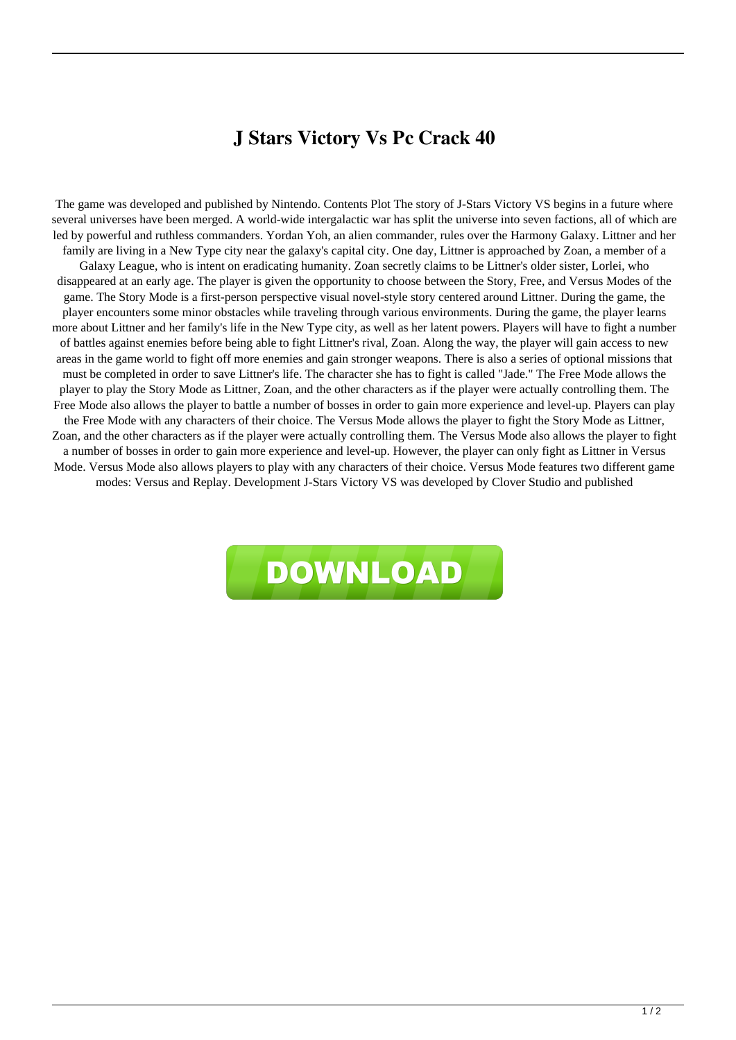## **J Stars Victory Vs Pc Crack 40**

The game was developed and published by Nintendo. Contents Plot The story of J-Stars Victory VS begins in a future where several universes have been merged. A world-wide intergalactic war has split the universe into seven factions, all of which are led by powerful and ruthless commanders. Yordan Yoh, an alien commander, rules over the Harmony Galaxy. Littner and her family are living in a New Type city near the galaxy's capital city. One day, Littner is approached by Zoan, a member of a Galaxy League, who is intent on eradicating humanity. Zoan secretly claims to be Littner's older sister, Lorlei, who disappeared at an early age. The player is given the opportunity to choose between the Story, Free, and Versus Modes of the game. The Story Mode is a first-person perspective visual novel-style story centered around Littner. During the game, the player encounters some minor obstacles while traveling through various environments. During the game, the player learns more about Littner and her family's life in the New Type city, as well as her latent powers. Players will have to fight a number of battles against enemies before being able to fight Littner's rival, Zoan. Along the way, the player will gain access to new areas in the game world to fight off more enemies and gain stronger weapons. There is also a series of optional missions that must be completed in order to save Littner's life. The character she has to fight is called "Jade." The Free Mode allows the player to play the Story Mode as Littner, Zoan, and the other characters as if the player were actually controlling them. The Free Mode also allows the player to battle a number of bosses in order to gain more experience and level-up. Players can play the Free Mode with any characters of their choice. The Versus Mode allows the player to fight the Story Mode as Littner, Zoan, and the other characters as if the player were actually controlling them. The Versus Mode also allows the player to fight a number of bosses in order to gain more experience and level-up. However, the player can only fight as Littner in Versus Mode. Versus Mode also allows players to play with any characters of their choice. Versus Mode features two different game modes: Versus and Replay. Development J-Stars Victory VS was developed by Clover Studio and published